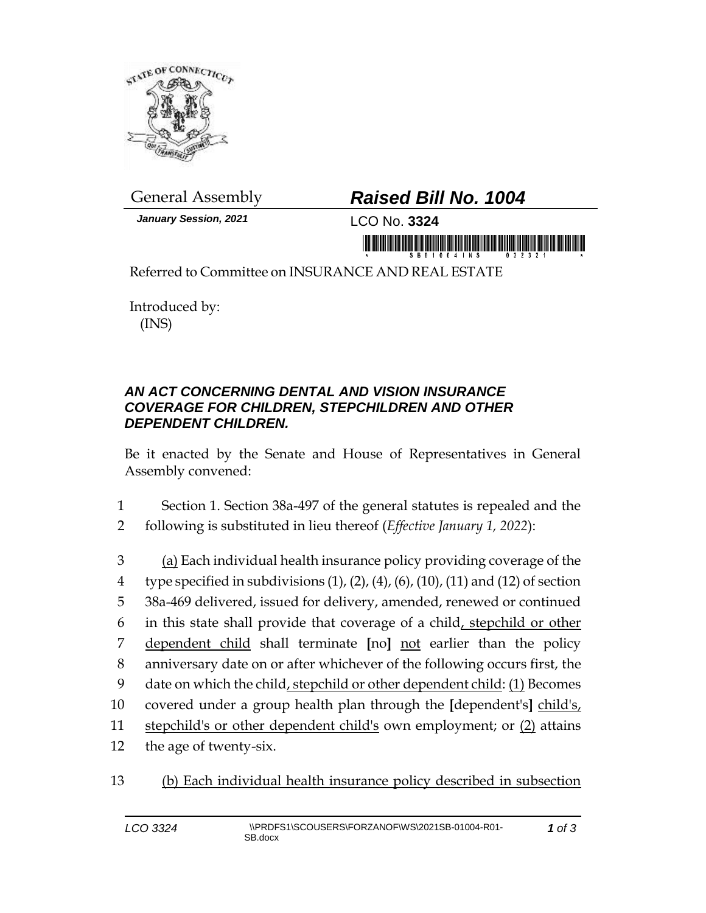

*January Session, 2021* LCO No. **3324**

## General Assembly *Raised Bill No. 1004*

in monomi divin'ny fivondronan-kaominina monoi

Referred to Committee on INSURANCE AND REAL ESTATE

Introduced by: (INS)

## *AN ACT CONCERNING DENTAL AND VISION INSURANCE COVERAGE FOR CHILDREN, STEPCHILDREN AND OTHER DEPENDENT CHILDREN.*

Be it enacted by the Senate and House of Representatives in General Assembly convened:

- 1 Section 1. Section 38a-497 of the general statutes is repealed and the
- 2 following is substituted in lieu thereof (*Effective January 1, 2022*):
- 3 (a) Each individual health insurance policy providing coverage of the 4 type specified in subdivisions  $(1)$ ,  $(2)$ ,  $(4)$ ,  $(6)$ ,  $(10)$ ,  $(11)$  and  $(12)$  of section 5 38a-469 delivered, issued for delivery, amended, renewed or continued 6 in this state shall provide that coverage of a child, stepchild or other 7 dependent child shall terminate **[**no**]** not earlier than the policy 8 anniversary date on or after whichever of the following occurs first, the 9 date on which the child, stepchild or other dependent child: (1) Becomes 10 covered under a group health plan through the **[**dependent's**]** child's, 11 stepchild's or other dependent child's own employment; or (2) attains 12 the age of twenty-six.
- 13 (b) Each individual health insurance policy described in subsection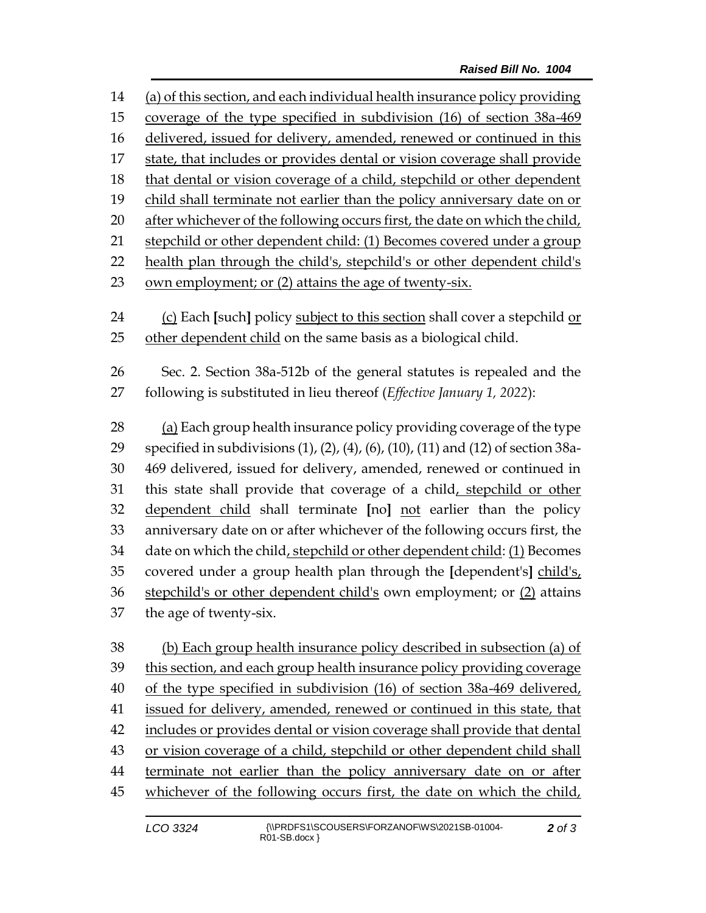| 14 | (a) of this section, and each individual health insurance policy providing        |  |  |
|----|-----------------------------------------------------------------------------------|--|--|
| 15 | coverage of the type specified in subdivision (16) of section 38a-469             |  |  |
| 16 | delivered, issued for delivery, amended, renewed or continued in this             |  |  |
| 17 | state, that includes or provides dental or vision coverage shall provide          |  |  |
| 18 | that dental or vision coverage of a child, stepchild or other dependent           |  |  |
| 19 | child shall terminate not earlier than the policy anniversary date on or          |  |  |
| 20 | after whichever of the following occurs first, the date on which the child,       |  |  |
| 21 | stepchild or other dependent child: (1) Becomes covered under a group             |  |  |
| 22 | health plan through the child's, stepchild's or other dependent child's           |  |  |
| 23 | own employment; or (2) attains the age of twenty-six.                             |  |  |
|    |                                                                                   |  |  |
| 24 | (c) Each [such] policy subject to this section shall cover a stepchild or         |  |  |
| 25 | other dependent child on the same basis as a biological child.                    |  |  |
| 26 | Sec. 2. Section 38a-512b of the general statutes is repealed and the              |  |  |
| 27 | following is substituted in lieu thereof (Effective January 1, 2022):             |  |  |
|    |                                                                                   |  |  |
| 28 | (a) Each group health insurance policy providing coverage of the type             |  |  |
| 29 | specified in subdivisions (1), (2), (4), (6), (10), (11) and (12) of section 38a- |  |  |
| 30 | 469 delivered, issued for delivery, amended, renewed or continued in              |  |  |
| 31 | this state shall provide that coverage of a child, stepchild or other             |  |  |
| 32 | dependent child shall terminate [no] not earlier than the policy                  |  |  |
| 33 | anniversary date on or after whichever of the following occurs first, the         |  |  |
| 34 | date on which the child, stepchild or other dependent child: (1) Becomes          |  |  |
| 35 | covered under a group health plan through the [dependent's] child's,              |  |  |
| 36 | stepchild's or other dependent child's own employment; or (2) attains             |  |  |
| 37 | the age of twenty-six.                                                            |  |  |
| 38 | (b) Each group health insurance policy described in subsection (a) of             |  |  |
|    |                                                                                   |  |  |

 (b) Each group health insurance policy described in subsection (a) of this section, and each group health insurance policy providing coverage of the type specified in subdivision (16) of section 38a-469 delivered, issued for delivery, amended, renewed or continued in this state, that includes or provides dental or vision coverage shall provide that dental or vision coverage of a child, stepchild or other dependent child shall terminate not earlier than the policy anniversary date on or after 45 whichever of the following occurs first, the date on which the child,